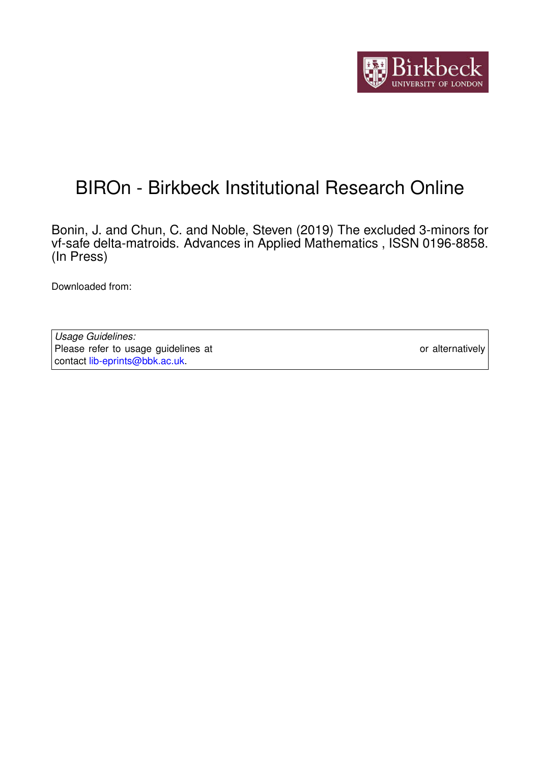

# BIROn - Birkbeck Institutional Research Online

Bonin, J. and Chun, C. and Noble, Steven (2019) The excluded 3-minors for vf-safe delta-matroids. Advances in Applied Mathematics , ISSN 0196-8858. (In Press)

Downloaded from: <https://eprints.bbk.ac.uk/id/eprint/27347/>

*Usage Guidelines:* Please refer to usage guidelines at <https://eprints.bbk.ac.uk/policies.html> or alternatively contact [lib-eprints@bbk.ac.uk.](mailto:lib-eprints@bbk.ac.uk)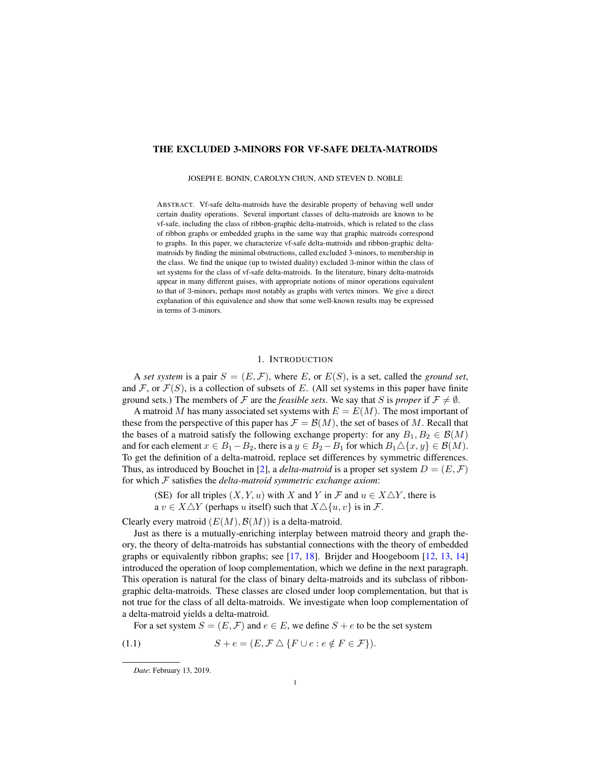## THE EXCLUDED 3-MINORS FOR VF-SAFE DELTA-MATROIDS

JOSEPH E. BONIN, CAROLYN CHUN, AND STEVEN D. NOBLE

ABSTRACT. Vf-safe delta-matroids have the desirable property of behaving well under certain duality operations. Several important classes of delta-matroids are known to be vf-safe, including the class of ribbon-graphic delta-matroids, which is related to the class of ribbon graphs or embedded graphs in the same way that graphic matroids correspond to graphs. In this paper, we characterize vf-safe delta-matroids and ribbon-graphic deltamatroids by finding the minimal obstructions, called excluded 3-minors, to membership in the class. We find the unique (up to twisted duality) excluded 3-minor within the class of set systems for the class of vf-safe delta-matroids. In the literature, binary delta-matroids appear in many different guises, with appropriate notions of minor operations equivalent to that of 3-minors, perhaps most notably as graphs with vertex minors. We give a direct explanation of this equivalence and show that some well-known results may be expressed in terms of 3-minors.

## 1. INTRODUCTION

<span id="page-1-1"></span>A *set system* is a pair  $S = (E, \mathcal{F})$ , where E, or  $E(S)$ , is a set, called the *ground set*, and  $\mathcal F$ , or  $\mathcal F(S)$ , is a collection of subsets of E. (All set systems in this paper have finite ground sets.) The members of F are the *feasible sets*. We say that S is *proper* if  $\mathcal{F} \neq \emptyset$ .

A matroid M has many associated set systems with  $E = E(M)$ . The most important of these from the perspective of this paper has  $\mathcal{F} = \mathcal{B}(M)$ , the set of bases of M. Recall that the bases of a matroid satisfy the following exchange property: for any  $B_1, B_2 \in \mathcal{B}(M)$ and for each element  $x \in B_1 - B_2$ , there is a  $y \in B_2 - B_1$  for which  $B_1 \triangle \{x, y\} \in \mathcal{B}(M)$ . To get the definition of a delta-matroid, replace set differences by symmetric differences. Thus, as introduced by Bouchet in [\[2\]](#page-16-0), a *delta-matroid* is a proper set system  $D = (E, \mathcal{F})$ for which F satisfies the *delta-matroid symmetric exchange axiom*:

(SE) for all triples  $(X, Y, u)$  with X and Y in F and  $u \in X \triangle Y$ , there is

a  $v \in X \triangle Y$  (perhaps u itself) such that  $X \triangle \{u, v\}$  is in F.

Clearly every matroid  $(E(M), \mathcal{B}(M))$  is a delta-matroid.

Just as there is a mutually-enriching interplay between matroid theory and graph theory, the theory of delta-matroids has substantial connections with the theory of embedded graphs or equivalently ribbon graphs; see [\[17,](#page-16-1) [18\]](#page-16-2). Brijder and Hoogeboom [\[12,](#page-16-3) [13,](#page-16-4) [14\]](#page-16-5) introduced the operation of loop complementation, which we define in the next paragraph. This operation is natural for the class of binary delta-matroids and its subclass of ribbongraphic delta-matroids. These classes are closed under loop complementation, but that is not true for the class of all delta-matroids. We investigate when loop complementation of a delta-matroid yields a delta-matroid.

<span id="page-1-0"></span>For a set system  $S = (E, \mathcal{F})$  and  $e \in E$ , we define  $S + e$  to be the set system

$$
(1.1) \tS + e = (E, \mathcal{F} \triangle \{F \cup e : e \notin F \in \mathcal{F}\}).
$$

*Date*: February 13, 2019.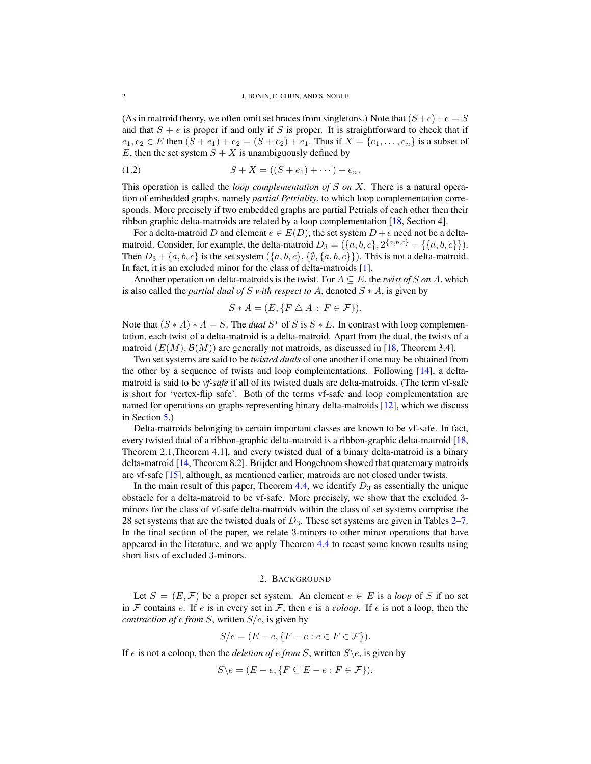(As in matroid theory, we often omit set braces from singletons.) Note that  $(S+e)+e = S$ and that  $S + e$  is proper if and only if S is proper. It is straightforward to check that if  $e_1, e_2 \in E$  then  $(S + e_1) + e_2 = (S + e_2) + e_1$ . Thus if  $X = \{e_1, \ldots, e_n\}$  is a subset of E, then the set system  $S + X$  is unambiguously defined by

<span id="page-2-0"></span>
$$
(1.2) \t S + X = ((S + e1) + \cdots) + en.
$$

This operation is called the *loop complementation of* S *on* X. There is a natural operation of embedded graphs, namely *partial Petriality*, to which loop complementation corresponds. More precisely if two embedded graphs are partial Petrials of each other then their ribbon graphic delta-matroids are related by a loop complementation [\[18,](#page-16-2) Section 4].

For a delta-matroid D and element  $e \in E(D)$ , the set system  $D + e$  need not be a deltamatroid. Consider, for example, the delta-matroid  $D_3 = (\{a, b, c\}, 2^{\{a, b, c\}} - \{\{a, b, c\}\}).$ Then  $D_3 + \{a, b, c\}$  is the set system  $(\{a, b, c\}, \{\emptyset, \{a, b, c\}\})$ . This is not a delta-matroid. In fact, it is an excluded minor for the class of delta-matroids [\[1\]](#page-16-6).

Another operation on delta-matroids is the twist. For  $A \subseteq E$ , the *twist of* S on A, which is also called the *partial dual of* S *with respect to* A, denoted S ∗ A, is given by

$$
S \ast A = (E, \{ F \bigtriangleup A : F \in \mathcal{F} \}).
$$

Note that  $(S * A) * A = S$ . The *dual*  $S^*$  of S is  $S * E$ . In contrast with loop complementation, each twist of a delta-matroid is a delta-matroid. Apart from the dual, the twists of a matroid  $(E(M), \mathcal{B}(M))$  are generally not matroids, as discussed in [\[18,](#page-16-2) Theorem 3.4].

Two set systems are said to be *twisted duals* of one another if one may be obtained from the other by a sequence of twists and loop complementations. Following [\[14\]](#page-16-5), a deltamatroid is said to be *vf-safe* if all of its twisted duals are delta-matroids. (The term vf-safe is short for 'vertex-flip safe'. Both of the terms vf-safe and loop complementation are named for operations on graphs representing binary delta-matroids [\[12\]](#page-16-3), which we discuss in Section [5.](#page-7-0))

Delta-matroids belonging to certain important classes are known to be vf-safe. In fact, every twisted dual of a ribbon-graphic delta-matroid is a ribbon-graphic delta-matroid [\[18,](#page-16-2) Theorem 2.1,Theorem 4.1], and every twisted dual of a binary delta-matroid is a binary delta-matroid [\[14,](#page-16-5) Theorem 8.2]. Brijder and Hoogeboom showed that quaternary matroids are vf-safe [\[15\]](#page-16-7), although, as mentioned earlier, matroids are not closed under twists.

In the main result of this paper, Theorem [4.4,](#page-7-1) we identify  $D_3$  as essentially the unique obstacle for a delta-matroid to be vf-safe. More precisely, we show that the excluded 3 minors for the class of vf-safe delta-matroids within the class of set systems comprise the 28 set systems that are the twisted duals of  $D_3$ . These set systems are given in Tables [2–](#page-13-0)[7.](#page-15-0) In the final section of the paper, we relate 3-minors to other minor operations that have appeared in the literature, and we apply Theorem [4.4](#page-7-1) to recast some known results using short lists of excluded 3-minors.

## 2. BACKGROUND

Let  $S = (E, \mathcal{F})$  be a proper set system. An element  $e \in E$  is a *loop* of S if no set in  $F$  contains  $e$ . If  $e$  is in every set in  $F$ , then  $e$  is a *coloop*. If  $e$  is not a loop, then the *contraction of e from*  $S$ , written  $S/e$ , is given by

$$
S/e = (E - e, \{F - e : e \in F \in \mathcal{F}\}).
$$

If e is not a coloop, then the *deletion of e from* S, written  $S \e$ , is given by

$$
S \backslash e = (E - e, \{ F \subseteq E - e : F \in \mathcal{F} \}).
$$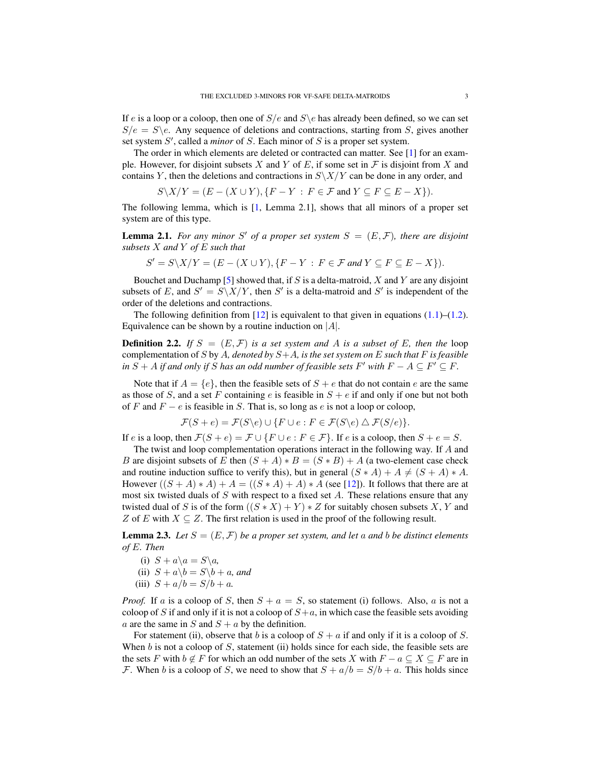If e is a loop or a coloop, then one of  $S/e$  and  $S\$ e has already been defined, so we can set  $S/e = S \e$ . Any sequence of deletions and contractions, starting from S, gives another set system  $S'$ , called a *minor* of  $S$ . Each minor of  $S$  is a proper set system.

The order in which elements are deleted or contracted can matter. See [\[1\]](#page-16-6) for an example. However, for disjoint subsets X and Y of E, if some set in  $\mathcal F$  is disjoint from X and contains Y, then the deletions and contractions in  $S\X/Y$  can be done in any order, and

$$
S \setminus X/Y = (E - (X \cup Y), \{F - Y : F \in \mathcal{F} \text{ and } Y \subseteq F \subseteq E - X\}).
$$

The following lemma, which is [\[1,](#page-16-6) Lemma 2.1], shows that all minors of a proper set system are of this type.

<span id="page-3-0"></span>**Lemma 2.1.** For any minor S' of a proper set system  $S = (E, \mathcal{F})$ , there are disjoint *subsets* X *and* Y *of* E *such that*

$$
S' = S \setminus X/Y = (E - (X \cup Y), \{F - Y : F \in \mathcal{F} \text{ and } Y \subseteq F \subseteq E - X\}).
$$

Bouchet and Duchamp [\[5\]](#page-16-8) showed that, if S is a delta-matroid, X and Y are any disjoint subsets of E, and  $S' = S\X/Y$ , then S' is a delta-matroid and S' is independent of the order of the deletions and contractions.

The following definition from [\[12\]](#page-16-3) is equivalent to that given in equations  $(1.1)$ – $(1.2)$ . Equivalence can be shown by a routine induction on  $|A|$ .

**Definition 2.2.** If  $S = (E, \mathcal{F})$  is a set system and A is a subset of E, then the loop complementation of S by A*, denoted by* S+A*, is the set system on* E *such that* F *is feasible*  $i$ *n*  $S + A$  *if and only if*  $S$  *has an odd number of feasible sets*  $F'$  *with*  $F - A \subseteq F' \subseteq F$ .

Note that if  $A = \{e\}$ , then the feasible sets of  $S + e$  that do not contain e are the same as those of S, and a set F containing e is feasible in  $S + e$  if and only if one but not both of F and  $F - e$  is feasible in S. That is, so long as e is not a loop or coloop,

$$
\mathcal{F}(S+e) = \mathcal{F}(S \backslash e) \cup \{ F \cup e : F \in \mathcal{F}(S \backslash e) \triangle \mathcal{F}(S / e) \}.
$$

If e is a loop, then  $\mathcal{F}(S + e) = \mathcal{F} \cup \{F \cup e : F \in \mathcal{F}\}\$ . If e is a coloop, then  $S + e = S$ .

The twist and loop complementation operations interact in the following way. If A and B are disjoint subsets of E then  $(S + A) * B = (S * B) + A$  (a two-element case check and routine induction suffice to verify this), but in general  $(S * A) + A \neq (S + A) * A$ . However  $((S + A) * A) + A = ((S * A) + A) * A$  (see [\[12\]](#page-16-3)). It follows that there are at most six twisted duals of S with respect to a fixed set A. These relations ensure that any twisted dual of S is of the form  $((S * X) + Y) * Z$  for suitably chosen subsets X, Y and Z of E with  $X \subseteq Z$ . The first relation is used in the proof of the following result.

<span id="page-3-1"></span>**Lemma 2.3.** Let  $S = (E, \mathcal{F})$  be a proper set system, and let a and b be distinct elements *of* E*. Then*

- (i)  $S + a\lambda a = S\lambda a$ ,
- (ii)  $S + a\mathbf{\setminus} b = S\mathbf{\setminus} b + a$ *, and*
- (iii)  $S + a/b = S/b + a$ .

*Proof.* If a is a coloop of S, then  $S + a = S$ , so statement (i) follows. Also, a is not a coloop of S if and only if it is not a coloop of  $S+a$ , in which case the feasible sets avoiding a are the same in S and  $S + a$  by the definition.

For statement (ii), observe that b is a coloop of  $S + a$  if and only if it is a coloop of S. When  $b$  is not a coloop of  $S$ , statement (ii) holds since for each side, the feasible sets are the sets F with  $b \notin F$  for which an odd number of the sets X with  $F - a \subseteq X \subseteq F$  are in F. When b is a coloop of S, we need to show that  $S + a/b = S/b + a$ . This holds since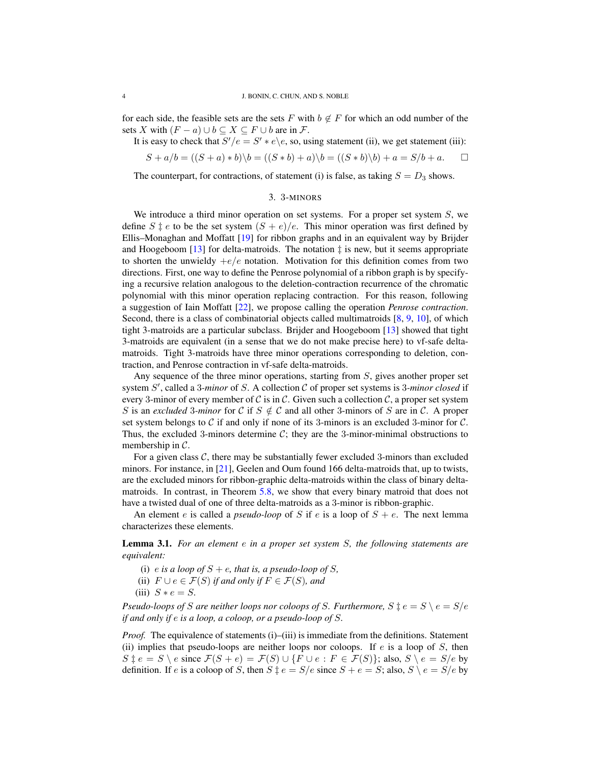for each side, the feasible sets are the sets F with  $b \notin F$  for which an odd number of the sets X with  $(F - a) \cup b \subseteq X \subseteq F \cup b$  are in F.

It is easy to check that 
$$
S'/e = S' * e \backslash e
$$
, so, using statement (ii), we get statement (iii):

$$
S + a/b = ((S + a) * b)\backslash b = ((S * b) + a)\backslash b = ((S * b)\backslash b) + a = S/b + a.
$$

The counterpart, for contractions, of statement (i) is false, as taking  $S = D_3$  shows.

### 3. 3-MINORS

We introduce a third minor operation on set systems. For a proper set system  $S$ , we define  $S \ddagger e$  to be the set system  $(S + e)/e$ . This minor operation was first defined by Ellis–Monaghan and Moffatt [\[19\]](#page-16-9) for ribbon graphs and in an equivalent way by Brijder and Hoogeboom  $[13]$  for delta-matroids. The notation  $\ddagger$  is new, but it seems appropriate to shorten the unwieldy  $+e/e$  notation. Motivation for this definition comes from two directions. First, one way to define the Penrose polynomial of a ribbon graph is by specifying a recursive relation analogous to the deletion-contraction recurrence of the chromatic polynomial with this minor operation replacing contraction. For this reason, following a suggestion of Iain Moffatt [\[22\]](#page-16-10), we propose calling the operation *Penrose contraction*. Second, there is a class of combinatorial objects called multimatroids [\[8,](#page-16-11) [9,](#page-16-12) [10\]](#page-16-13), of which tight 3-matroids are a particular subclass. Brijder and Hoogeboom [\[13\]](#page-16-4) showed that tight 3-matroids are equivalent (in a sense that we do not make precise here) to vf-safe deltamatroids. Tight 3-matroids have three minor operations corresponding to deletion, contraction, and Penrose contraction in vf-safe delta-matroids.

Any sequence of the three minor operations, starting from S, gives another proper set system S', called a 3-minor of S. A collection C of proper set systems is 3-minor closed if every 3-minor of every member of C is in C. Given such a collection C, a proper set system S is an *excluded* 3*-minor* for C if  $S \notin \mathcal{C}$  and all other 3-minors of S are in C. A proper set system belongs to  $C$  if and only if none of its 3-minors is an excluded 3-minor for  $C$ . Thus, the excluded 3-minors determine  $C$ ; they are the 3-minor-minimal obstructions to membership in  $C$ .

For a given class  $C$ , there may be substantially fewer excluded 3-minors than excluded minors. For instance, in [\[21\]](#page-16-14), Geelen and Oum found 166 delta-matroids that, up to twists, are the excluded minors for ribbon-graphic delta-matroids within the class of binary deltamatroids. In contrast, in Theorem [5.8,](#page-12-0) we show that every binary matroid that does not have a twisted dual of one of three delta-matroids as a 3-minor is ribbon-graphic.

An element e is called a *pseudo-loop* of S if e is a loop of  $S + e$ . The next lemma characterizes these elements.

Lemma 3.1. *For an element* e *in a proper set system* S*, the following statements are equivalent:*

- (i) e is a loop of  $S + e$ , that is, a pseudo-loop of S,
- (ii)  $F \cup e \in \mathcal{F}(S)$  *if and only if*  $F \in \mathcal{F}(S)$ *, and*
- (iii)  $S * e = S$ .

*Pseudo-loops of S* are neither loops nor coloops of *S*. Furthermore,  $S \ddagger e = S \setminus e = S/e$ *if and only if* e *is a loop, a coloop, or a pseudo-loop of* S*.*

*Proof.* The equivalence of statements (i)–(iii) is immediate from the definitions. Statement (ii) implies that pseudo-loops are neither loops nor coloops. If  $e$  is a loop of  $S$ , then  $S \, \dot{z} \, e = S \setminus e$  since  $\mathcal{F}(S + e) = \mathcal{F}(S) \cup \{ F \cup e : F \in \mathcal{F}(S) \}$ ; also,  $S \setminus e = S/e$  by definition. If e is a coloop of S, then  $S \downarrow e = S/e$  since  $S + e = S$ ; also,  $S \setminus e = S/e$  by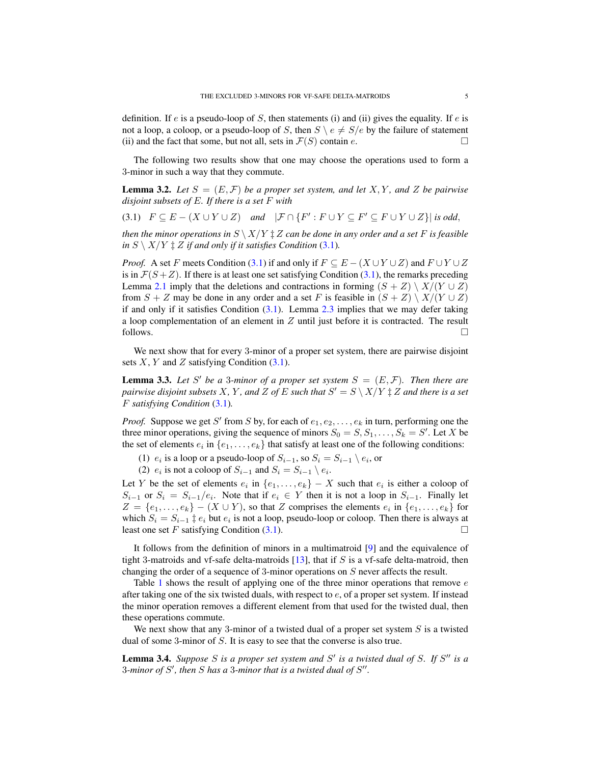definition. If e is a pseudo-loop of S, then statements (i) and (ii) gives the equality. If e is not a loop, a coloop, or a pseudo-loop of S, then  $S \setminus e \neq S/e$  by the failure of statement (ii) and the fact that some, but not all, sets in  $\mathcal{F}(S)$  contain e.

The following two results show that one may choose the operations used to form a 3-minor in such a way that they commute.

**Lemma 3.2.** Let  $S = (E, \mathcal{F})$  be a proper set system, and let X, Y, and Z be pairwise *disjoint subsets of* E*. If there is a set* F *with*

<span id="page-5-0"></span>
$$
(3.1) \quad F \subseteq E - (X \cup Y \cup Z) \quad and \quad |\mathcal{F} \cap \{F' : F \cup Y \subseteq F' \subseteq F \cup Y \cup Z\}|\ is\ odd,
$$

*then the minor operations in*  $S \setminus X/Y \sharp Z$  *can be done in any order and a set* F *is feasible in*  $S \setminus X/Y \ddagger Z$  *if and only if it satisfies Condition* [\(3.1\)](#page-5-0)*.* 

*Proof.* A set F meets Condition [\(3.1\)](#page-5-0) if and only if  $F \subseteq E - (X \cup Y \cup Z)$  and  $F \cup Y \cup Z$ is in  $\mathcal{F}(S+Z)$ . If there is at least one set satisfying Condition [\(3.1\)](#page-5-0), the remarks preceding Lemma [2.1](#page-3-0) imply that the deletions and contractions in forming  $(S + Z) \setminus X/(Y \cup Z)$ from  $S + Z$  may be done in any order and a set F is feasible in  $(S + Z) \setminus X/(Y \cup Z)$ if and only if it satisfies Condition  $(3.1)$ . Lemma [2.3](#page-3-1) implies that we may defer taking a loop complementation of an element in Z until just before it is contracted. The result follows.  $\Box$ 

We next show that for every 3-minor of a proper set system, there are pairwise disjoint sets  $X, Y$  and  $Z$  satisfying Condition  $(3.1)$ .

**Lemma 3.3.** Let S' be a 3-minor of a proper set system  $S = (E, \mathcal{F})$ . Then there are *pairwise disjoint subsets*  $X$ *,*  $Y$ *, and*  $Z$  *of*  $E$  *such that*  $S' = S \setminus X/Y \ddagger Z$  *and there is a set* F *satisfying Condition* [\(3.1\)](#page-5-0)*.*

*Proof.* Suppose we get S' from S by, for each of  $e_1, e_2, \ldots, e_k$  in turn, performing one the three minor operations, giving the sequence of minors  $S_0 = S, S_1, \ldots, S_k = S'$ . Let X be the set of elements  $e_i$  in  $\{e_1, \ldots, e_k\}$  that satisfy at least one of the following conditions:

(1)  $e_i$  is a loop or a pseudo-loop of  $S_{i-1}$ , so  $S_i = S_{i-1} \setminus e_i$ , or

(2)  $e_i$  is not a coloop of  $S_{i-1}$  and  $S_i = S_{i-1} \setminus e_i$ .

Let Y be the set of elements  $e_i$  in  $\{e_1, \ldots, e_k\} - X$  such that  $e_i$  is either a coloop of  $S_{i-1}$  or  $S_i = S_{i-1}/e_i$ . Note that if  $e_i \in Y$  then it is not a loop in  $S_{i-1}$ . Finally let  $Z = \{e_1, \ldots, e_k\} - (X \cup Y)$ , so that Z comprises the elements  $e_i$  in  $\{e_1, \ldots, e_k\}$  for which  $S_i = S_{i-1} \ddagger e_i$  but  $e_i$  is not a loop, pseudo-loop or coloop. Then there is always at least one set F satisfying Condition  $(3.1)$ .

It follows from the definition of minors in a multimatroid [\[9\]](#page-16-12) and the equivalence of tight 3-matroids and vf-safe delta-matroids  $[13]$ , that if S is a vf-safe delta-matroid, then changing the order of a sequence of 3-minor operations on S never affects the result.

Table [1](#page-6-0) shows the result of applying one of the three minor operations that remove  $e$ after taking one of the six twisted duals, with respect to  $e$ , of a proper set system. If instead the minor operation removes a different element from that used for the twisted dual, then these operations commute.

We next show that any 3-minor of a twisted dual of a proper set system  $S$  is a twisted dual of some 3-minor of S. It is easy to see that the converse is also true.

<span id="page-5-1"></span>**Lemma 3.4.** Suppose  $S$  is a proper set system and  $S'$  is a twisted dual of  $S$ . If  $S''$  is a 3-minor of  $S'$ , then  $S$  has a 3-minor that is a twisted dual of  $S''$ .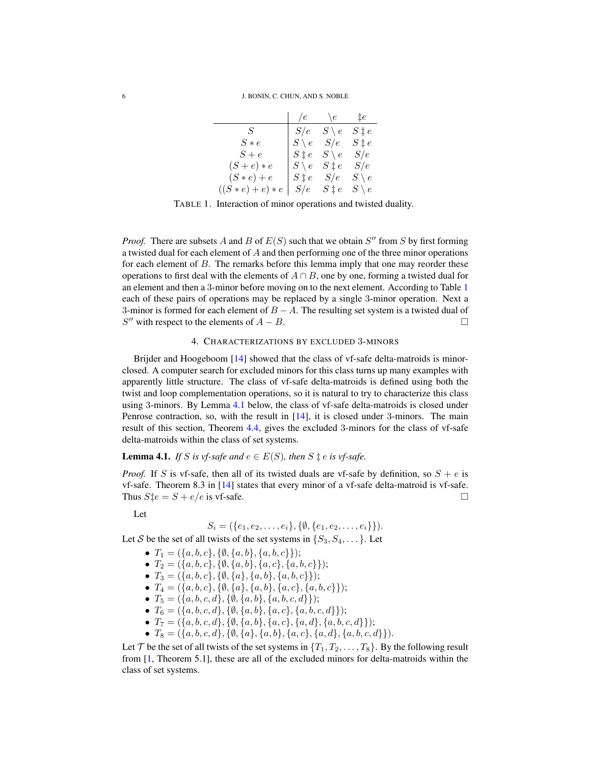6 J. BONIN, C. CHUN, AND S. NOBLE

|                     | /e              | $\setminus e$   | ‡e              |
|---------------------|-----------------|-----------------|-----------------|
| $S_{-}$             | S/e             | $S \setminus e$ | $S \ddagger e$  |
| $S * e$             | $S \setminus e$ | S/e             | $S\ddagger e$   |
| $S+e$               | $S \ddagger e$  | $S \setminus e$ | S/e             |
| $(S+e)*e$           | $S \setminus e$ | $S \ddagger e$  | S/e             |
| $(S*e)+e$           | $S \ddagger e$  | S/e             | $S \setminus e$ |
| $((S * e) + e) * e$ | S/e             | $S \ddagger e$  | $S \setminus e$ |

<span id="page-6-0"></span>TABLE 1. Interaction of minor operations and twisted duality.

*Proof.* There are subsets A and B of  $E(S)$  such that we obtain  $S''$  from S by first forming a twisted dual for each element of A and then performing one of the three minor operations for each element of B. The remarks before this lemma imply that one may reorder these operations to first deal with the elements of  $A \cap B$ , one by one, forming a twisted dual for an element and then a 3-minor before moving on to the next element. According to Table [1](#page-6-0) each of these pairs of operations may be replaced by a single 3-minor operation. Next a 3-minor is formed for each element of  $B - A$ . The resulting set system is a twisted dual of S'' with respect to the elements of  $A - B$ .

## 4. CHARACTERIZATIONS BY EXCLUDED 3-MINORS

Brijder and Hoogeboom [\[14\]](#page-16-5) showed that the class of vf-safe delta-matroids is minorclosed. A computer search for excluded minors for this class turns up many examples with apparently little structure. The class of vf-safe delta-matroids is defined using both the twist and loop complementation operations, so it is natural to try to characterize this class using 3-minors. By Lemma [4.1](#page-6-1) below, the class of vf-safe delta-matroids is closed under Penrose contraction, so, with the result in [\[14\]](#page-16-5), it is closed under 3-minors. The main result of this section, Theorem [4.4,](#page-7-1) gives the excluded 3-minors for the class of vf-safe delta-matroids within the class of set systems.

<span id="page-6-1"></span>**Lemma 4.1.** *If* S *is vf-safe and*  $e \in E(S)$ *, then* S  $\ddagger$  *e is vf-safe.* 

*Proof.* If S is vf-safe, then all of its twisted duals are vf-safe by definition, so  $S + e$  is vf-safe. Theorem 8.3 in [\[14\]](#page-16-5) states that every minor of a vf-safe delta-matroid is vf-safe. Thus  $S \ddagger e = S + e/e$  is vf-safe.

Let

$$
S_i = (\{e_1, e_2, \ldots, e_i\}, \{\emptyset, \{e_1, e_2, \ldots, e_i\}\}).
$$

Let S be the set of all twists of the set systems in  $\{S_3, S_4, \dots\}$ . Let

- $T_1 = (\{a, b, c\}, \{\emptyset, \{a, b\}, \{a, b, c\}\});$
- $T_2 = (\{a, b, c\}, \{\emptyset, \{a, b\}, \{a, c\}, \{a, b, c\}\});$
- $T_3 = (\{a, b, c\}, \{b, \{a\}, \{a, b\}, \{a, b, c\}\});$
- $T_4 = (\{a, b, c\}, \{\emptyset, \{a\}, \{a, b\}, \{a, c\}, \{a, b, c\}\});$
- $T_5 = (\{a, b, c, d\}, \{\emptyset, \{a, b\}, \{a, b, c, d\}\});$
- $T_6 = (\{a, b, c, d\}, \{\emptyset, \{a, b\}, \{a, c\}, \{a, b, c, d\}\});$
- $T_7 = (\{a, b, c, d\}, \{\emptyset, \{a, b\}, \{a, c\}, \{a, d\}, \{a, b, c, d\}\});$
- $T_8 = (\{a, b, c, d\}, \{\emptyset, \{a\}, \{a, b\}, \{a, c\}, \{a, d\}, \{a, b, c, d\}\}).$

Let  $\mathcal T$  be the set of all twists of the set systems in  $\{T_1, T_2, \ldots, T_8\}$ . By the following result from [\[1,](#page-16-6) Theorem 5.1], these are all of the excluded minors for delta-matroids within the class of set systems.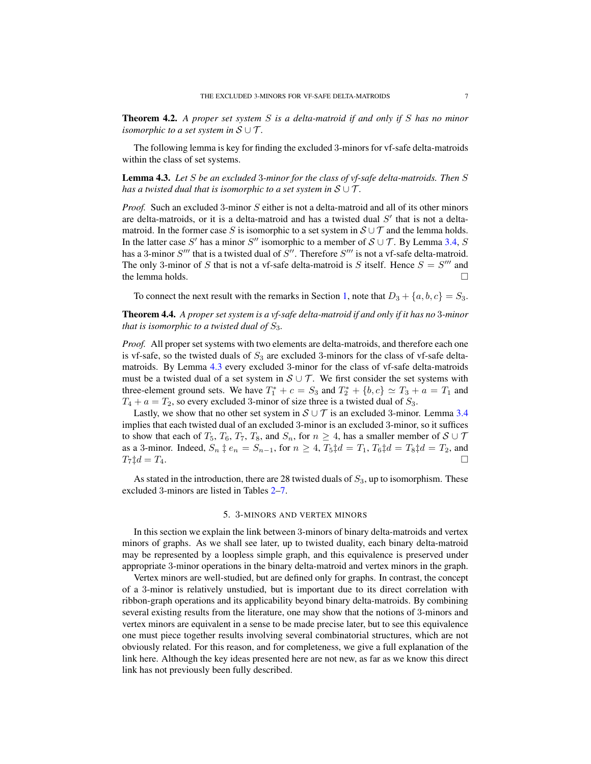Theorem 4.2. *A proper set system* S *is a delta-matroid if and only if* S *has no minor isomorphic to a set system in*  $S \cup T$ *.* 

The following lemma is key for finding the excluded 3-minors for vf-safe delta-matroids within the class of set systems.

<span id="page-7-2"></span>Lemma 4.3. *Let* S *be an excluded* 3*-minor for the class of vf-safe delta-matroids. Then* S *has a twisted dual that is isomorphic to a set system in*  $S \cup T$ *.* 

*Proof.* Such an excluded 3-minor S either is not a delta-matroid and all of its other minors are delta-matroids, or it is a delta-matroid and has a twisted dual  $S'$  that is not a deltamatroid. In the former case S is isomorphic to a set system in  $S \cup T$  and the lemma holds. In the latter case S' has a minor S'' isomorphic to a member of  $S \cup T$ . By Lemma [3.4,](#page-5-1) S has a 3-minor  $S'''$  that is a twisted dual of  $S''$ . Therefore  $S'''$  is not a vf-safe delta-matroid. The only 3-minor of S that is not a vf-safe delta-matroid is S itself. Hence  $S = S'''$  and the lemma holds.

To connect the next result with the remarks in Section [1,](#page-1-1) note that  $D_3 + \{a, b, c\} = S_3$ .

<span id="page-7-1"></span>Theorem 4.4. *A proper set system is a vf-safe delta-matroid if and only if it has no* 3*-minor that is isomorphic to a twisted dual of*  $S_3$ *.* 

*Proof.* All proper set systems with two elements are delta-matroids, and therefore each one is vf-safe, so the twisted duals of  $S_3$  are excluded 3-minors for the class of vf-safe deltamatroids. By Lemma [4.3](#page-7-2) every excluded 3-minor for the class of vf-safe delta-matroids must be a twisted dual of a set system in  $S \cup T$ . We first consider the set systems with three-element ground sets. We have  $T_1^* + c = S_3$  and  $T_2^* + \{b, c\} \simeq T_3 + a = T_1$  and  $T_4 + a = T_2$ , so every excluded 3-minor of size three is a twisted dual of  $S_3$ .

Lastly, we show that no other set system in  $S \cup T$  is an excluded 3-minor. Lemma [3.4](#page-5-1) implies that each twisted dual of an excluded 3-minor is an excluded 3-minor, so it suffices to show that each of  $T_5$ ,  $T_6$ ,  $T_7$ ,  $T_8$ , and  $S_n$ , for  $n \geq 4$ , has a smaller member of  $S \cup T$ as a 3-minor. Indeed,  $S_n \, \ddagger \, e_n = S_{n-1}$ , for  $n \geq 4$ ,  $T_5 \ddagger d = T_1$ ,  $T_6 \ddagger d = T_8 \ddagger d = T_2$ , and  $T_7 \ddagger d = T_4.$ 

As stated in the introduction, there are 28 twisted duals of  $S_3$ , up to isomorphism. These excluded 3-minors are listed in Tables [2–](#page-13-0)[7.](#page-15-0)

## 5. 3-MINORS AND VERTEX MINORS

<span id="page-7-0"></span>In this section we explain the link between 3-minors of binary delta-matroids and vertex minors of graphs. As we shall see later, up to twisted duality, each binary delta-matroid may be represented by a loopless simple graph, and this equivalence is preserved under appropriate 3-minor operations in the binary delta-matroid and vertex minors in the graph.

Vertex minors are well-studied, but are defined only for graphs. In contrast, the concept of a 3-minor is relatively unstudied, but is important due to its direct correlation with ribbon-graph operations and its applicability beyond binary delta-matroids. By combining several existing results from the literature, one may show that the notions of 3-minors and vertex minors are equivalent in a sense to be made precise later, but to see this equivalence one must piece together results involving several combinatorial structures, which are not obviously related. For this reason, and for completeness, we give a full explanation of the link here. Although the key ideas presented here are not new, as far as we know this direct link has not previously been fully described.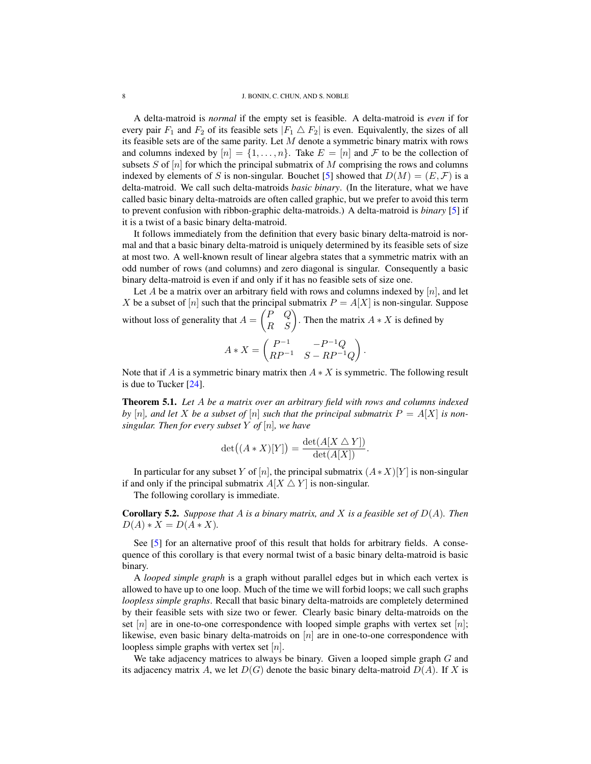A delta-matroid is *normal* if the empty set is feasible. A delta-matroid is *even* if for every pair  $F_1$  and  $F_2$  of its feasible sets  $|F_1 \triangle F_2|$  is even. Equivalently, the sizes of all its feasible sets are of the same parity. Let  $M$  denote a symmetric binary matrix with rows and columns indexed by  $[n] = \{1, \ldots, n\}$ . Take  $E = [n]$  and F to be the collection of subsets S of  $[n]$  for which the principal submatrix of M comprising the rows and columns indexed by elements of S is non-singular. Bouchet [\[5\]](#page-16-8) showed that  $D(M) = (E, \mathcal{F})$  is a delta-matroid. We call such delta-matroids *basic binary*. (In the literature, what we have called basic binary delta-matroids are often called graphic, but we prefer to avoid this term to prevent confusion with ribbon-graphic delta-matroids.) A delta-matroid is *binary* [\[5\]](#page-16-8) if it is a twist of a basic binary delta-matroid.

It follows immediately from the definition that every basic binary delta-matroid is normal and that a basic binary delta-matroid is uniquely determined by its feasible sets of size at most two. A well-known result of linear algebra states that a symmetric matrix with an odd number of rows (and columns) and zero diagonal is singular. Consequently a basic binary delta-matroid is even if and only if it has no feasible sets of size one.

Let A be a matrix over an arbitrary field with rows and columns indexed by  $[n]$ , and let X be a subset of [n] such that the principal submatrix  $P = A[X]$  is non-singular. Suppose without loss of generality that  $A = \begin{pmatrix} P & Q \\ R & S \end{pmatrix}$ . Then the matrix  $A * X$  is defined by

$$
A * X = \begin{pmatrix} P^{-1} & -P^{-1}Q \\ RP^{-1} & S - RP^{-1}Q \end{pmatrix}.
$$

Note that if A is a symmetric binary matrix then  $A \times X$  is symmetric. The following result is due to Tucker [\[24\]](#page-16-15).

Theorem 5.1. *Let* A *be a matrix over an arbitrary field with rows and columns indexed* by [n], and let X be a subset of [n] such that the principal submatrix  $P = A[X]$  is non*singular. Then for every subset* Y *of* [n]*, we have*

$$
\det((A * X)[Y]) = \frac{\det(A[X \bigtriangleup Y])}{\det(A[X])}.
$$

In particular for any subset Y of [n], the principal submatrix  $(A*X)[Y]$  is non-singular if and only if the principal submatrix  $A[X \triangle Y]$  is non-singular.

The following corollary is immediate.

<span id="page-8-0"></span>Corollary 5.2. *Suppose that* A *is a binary matrix, and* X *is a feasible set of* D(A)*. Then*  $D(A) * X = D(A * X)$ .

See [\[5\]](#page-16-8) for an alternative proof of this result that holds for arbitrary fields. A consequence of this corollary is that every normal twist of a basic binary delta-matroid is basic binary.

A *looped simple graph* is a graph without parallel edges but in which each vertex is allowed to have up to one loop. Much of the time we will forbid loops; we call such graphs *loopless simple graphs*. Recall that basic binary delta-matroids are completely determined by their feasible sets with size two or fewer. Clearly basic binary delta-matroids on the set |n| are in one-to-one correspondence with looped simple graphs with vertex set |n|; likewise, even basic binary delta-matroids on  $[n]$  are in one-to-one correspondence with loopless simple graphs with vertex set  $[n]$ .

We take adjacency matrices to always be binary. Given a looped simple graph  $G$  and its adjacency matrix A, we let  $D(G)$  denote the basic binary delta-matroid  $D(A)$ . If X is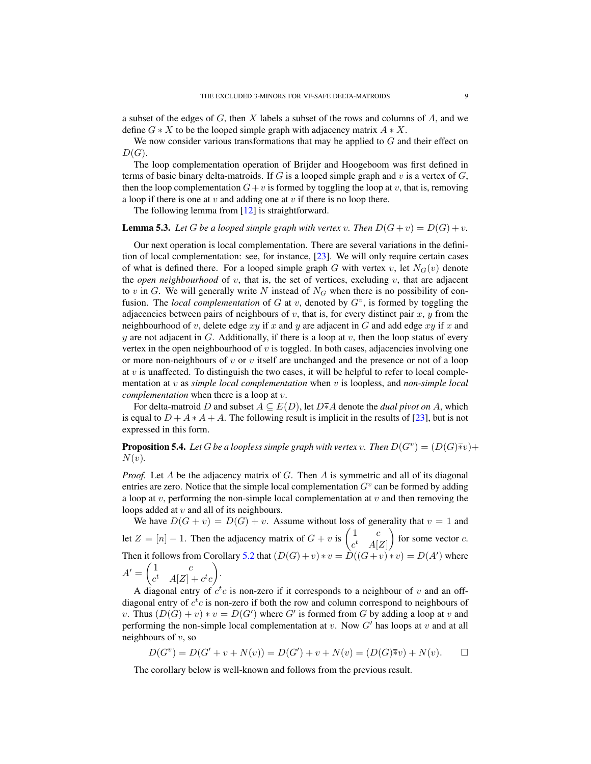a subset of the edges of  $G$ , then  $X$  labels a subset of the rows and columns of  $A$ , and we define  $G \ast X$  to be the looped simple graph with adjacency matrix  $A \ast X$ .

We now consider various transformations that may be applied to  $G$  and their effect on  $D(G).$ 

The loop complementation operation of Brijder and Hoogeboom was first defined in terms of basic binary delta-matroids. If  $G$  is a looped simple graph and  $v$  is a vertex of  $G$ , then the loop complementation  $G+v$  is formed by toggling the loop at v, that is, removing a loop if there is one at  $v$  and adding one at  $v$  if there is no loop there.

The following lemma from [\[12\]](#page-16-3) is straightforward.

**Lemma 5.3.** Let G be a looped simple graph with vertex v. Then  $D(G + v) = D(G) + v$ .

Our next operation is local complementation. There are several variations in the definition of local complementation: see, for instance, [\[23\]](#page-16-16). We will only require certain cases of what is defined there. For a looped simple graph G with vertex v, let  $N_G(v)$  denote the *open neighbourhood* of  $v$ , that is, the set of vertices, excluding  $v$ , that are adjacent to v in G. We will generally write N instead of  $N_G$  when there is no possibility of confusion. The *local complementation* of  $G$  at  $v$ , denoted by  $G<sup>v</sup>$ , is formed by toggling the adjacencies between pairs of neighbours of v, that is, for every distinct pair x, y from the neighbourhood of v, delete edge  $xy$  if x and y are adjacent in G and add edge  $xy$  if x and y are not adjacent in G. Additionally, if there is a loop at v, then the loop status of every vertex in the open neighbourhood of  $v$  is toggled. In both cases, adjacencies involving one or more non-neighbours of v or v itself are unchanged and the presence or not of a loop at  $v$  is unaffected. To distinguish the two cases, it will be helpful to refer to local complementation at v as *simple local complementation* when v is loopless, and *non-simple local complementation* when there is a loop at v.

For delta-matroid D and subset  $A \subseteq E(D)$ , let  $D \overline{*} A$  denote the *dual pivot on* A, which is equal to  $D + A * A + A$ . The following result is implicit in the results of [\[23\]](#page-16-16), but is not expressed in this form.

<span id="page-9-0"></span>**Proposition 5.4.** Let G be a loopless simple graph with vertex v. Then  $D(G^v) = (D(G)\overline{*}v) + D(G)\overline{*}v$  $N(v)$ .

*Proof.* Let A be the adjacency matrix of G. Then A is symmetric and all of its diagonal entries are zero. Notice that the simple local complementation  $G<sup>v</sup>$  can be formed by adding a loop at  $v$ , performing the non-simple local complementation at  $v$  and then removing the loops added at  $v$  and all of its neighbours.

We have  $D(G + v) = D(G) + v$ . Assume without loss of generality that  $v = 1$  and let  $Z = [n] - 1$ . Then the adjacency matrix of  $G + v$  is  $\begin{pmatrix} 1 & c \\ d & 1 \end{pmatrix}$  $c^t$   $A[Z]$ for some vector  $c$ . Then it follows from Corollary [5.2](#page-8-0) that  $(D(G)+v)*v = D((G+v)*v) = D(A')$  where  $A' = \begin{pmatrix} 1 & c \\ d & 1 \end{pmatrix}$  $c^t \quad A[Z] + c^t c$ .

A diagonal entry of  $c^t c$  is non-zero if it corresponds to a neighbour of v and an offdiagonal entry of  $c<sup>t</sup>c$  is non-zero if both the row and column correspond to neighbours of v. Thus  $(D(G) + v) * v = D(G')$  where G' is formed from G by adding a loop at v and performing the non-simple local complementation at  $v$ . Now  $G'$  has loops at  $v$  and at all neighbours of  $v$ , so

$$
D(G^v) = D(G' + v + N(v)) = D(G') + v + N(v) = (D(G)\overline{*}v) + N(v). \square
$$

The corollary below is well-known and follows from the previous result.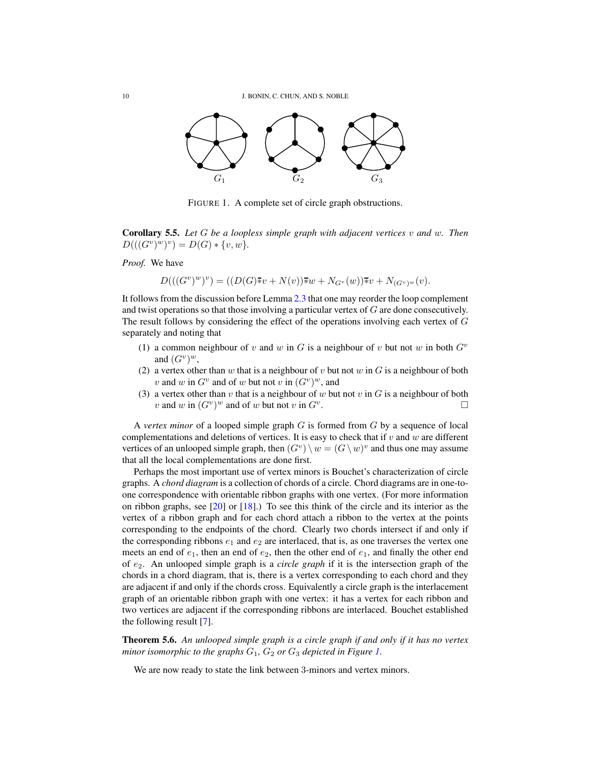

<span id="page-10-0"></span>FIGURE 1. A complete set of circle graph obstructions.

Corollary 5.5. *Let* G *be a loopless simple graph with adjacent vertices* v *and* w*. Then*  $D(((G^v)^w)^v) = D(G) * \{v, w\}.$ 

*Proof.* We have

$$
D(((G^v)^w)^v) = ((D(G)\overline{\ast}v + N(v))\overline{\ast}w + N_{G^v}(w))\overline{\ast}v + N_{(G^v)^w}(v).
$$

It follows from the discussion before Lemma [2.3](#page-3-1) that one may reorder the loop complement and twist operations so that those involving a particular vertex of G are done consecutively. The result follows by considering the effect of the operations involving each vertex of G separately and noting that

- (1) a common neighbour of v and w in G is a neighbour of v but not w in both  $G^v$ and  $(G^v)^w$ ,
- (2) a vertex other than w that is a neighbour of v but not w in  $G$  is a neighbour of both v and w in  $G^v$  and of w but not v in  $(G^v)^w$ , and
- (3) a vertex other than v that is a neighbour of w but not v in  $G$  is a neighbour of both v and w in  $(G^v)^w$  and of w but not v in  $G^v$ . В последните поставите на примерени в поставите на примерени в поставите на примерени в собита на примерени<br>В поставите на примерени в поставите на примерени в поставите на примерени в поставите на примерени в поставит<br>

A *vertex minor* of a looped simple graph G is formed from G by a sequence of local complementations and deletions of vertices. It is easy to check that if  $v$  and  $w$  are different vertices of an unlooped simple graph, then  $(G^v) \setminus w = (G \setminus w)^v$  and thus one may assume that all the local complementations are done first.

Perhaps the most important use of vertex minors is Bouchet's characterization of circle graphs. A *chord diagram* is a collection of chords of a circle. Chord diagrams are in one-toone correspondence with orientable ribbon graphs with one vertex. (For more information on ribbon graphs, see [\[20\]](#page-16-17) or [\[18\]](#page-16-2).) To see this think of the circle and its interior as the vertex of a ribbon graph and for each chord attach a ribbon to the vertex at the points corresponding to the endpoints of the chord. Clearly two chords intersect if and only if the corresponding ribbons  $e_1$  and  $e_2$  are interlaced, that is, as one traverses the vertex one meets an end of  $e_1$ , then an end of  $e_2$ , then the other end of  $e_1$ , and finally the other end of e2. An unlooped simple graph is a *circle graph* if it is the intersection graph of the chords in a chord diagram, that is, there is a vertex corresponding to each chord and they are adjacent if and only if the chords cross. Equivalently a circle graph is the interlacement graph of an orientable ribbon graph with one vertex: it has a vertex for each ribbon and two vertices are adjacent if the corresponding ribbons are interlaced. Bouchet established the following result [\[7\]](#page-16-18).

<span id="page-10-1"></span>Theorem 5.6. *An unlooped simple graph is a circle graph if and only if it has no vertex minor isomorphic to the graphs*  $G_1$ ,  $G_2$  *or*  $G_3$  *depicted in Figure [1.](#page-10-0)* 

We are now ready to state the link between 3-minors and vertex minors.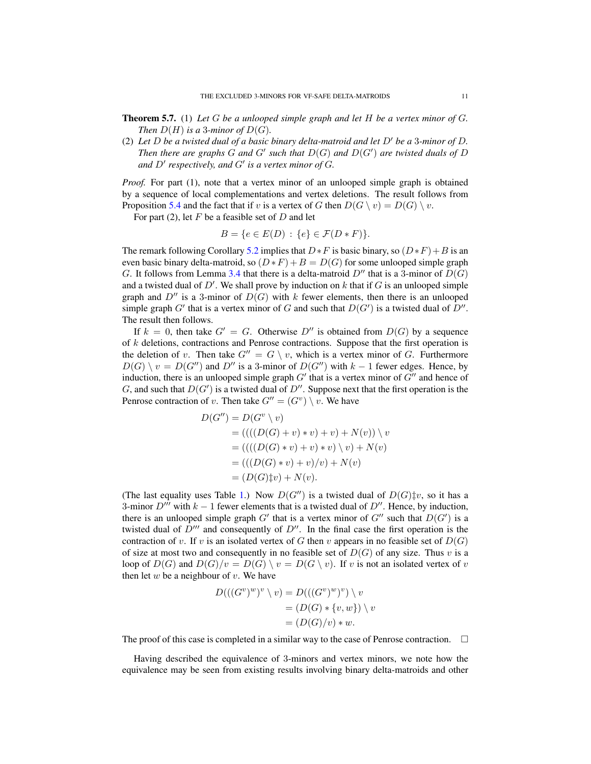- Theorem 5.7. (1) *Let* G *be a unlooped simple graph and let* H *be a vertex minor of* G*. Then*  $D(H)$  *is a* 3*-minor of*  $D(G)$ *.*
- (2) Let  $D$  be a twisted dual of a basic binary delta-matroid and let  $D'$  be a 3-minor of  $D$ . Then there are graphs G and G' such that  $D(G)$  and  $D(G')$  are twisted duals of D and  $D'$  respectively, and  $G'$  is a vertex minor of  $G$ .

*Proof.* For part (1), note that a vertex minor of an unlooped simple graph is obtained by a sequence of local complementations and vertex deletions. The result follows from Proposition [5.4](#page-9-0) and the fact that if v is a vertex of G then  $D(G \setminus v) = D(G) \setminus v$ .

For part (2), let  $F$  be a feasible set of  $D$  and let

$$
B = \{ e \in E(D) : \{ e \} \in \mathcal{F}(D * F) \}.
$$

The remark following Corollary [5.2](#page-8-0) implies that  $D * F$  is basic binary, so  $(D * F) + B$  is an even basic binary delta-matroid, so  $(D * F) + B = D(G)$  for some unlooped simple graph G. It follows from Lemma [3.4](#page-5-1) that there is a delta-matroid  $D''$  that is a 3-minor of  $D(G)$ and a twisted dual of  $D'$ . We shall prove by induction on k that if G is an unlooped simple graph and  $D''$  is a 3-minor of  $D(G)$  with k fewer elements, then there is an unlooped simple graph G' that is a vertex minor of G and such that  $D(G')$  is a twisted dual of  $D''$ . The result then follows.

If  $k = 0$ , then take  $G' = G$ . Otherwise  $D''$  is obtained from  $D(G)$  by a sequence of  $k$  deletions, contractions and Penrose contractions. Suppose that the first operation is the deletion of v. Then take  $G'' = G \setminus v$ , which is a vertex minor of G. Furthermore  $D(G) \setminus v = D(G'')$  and D'' is a 3-minor of  $D(G'')$  with  $k-1$  fewer edges. Hence, by induction, there is an unlooped simple graph  $G'$  that is a vertex minor of  $G''$  and hence of G, and such that  $D(G')$  is a twisted dual of  $D''$ . Suppose next that the first operation is the Penrose contraction of v. Then take  $G'' = (G^v) \setminus v$ . We have

$$
D(G'') = D(G^v \setminus v)
$$
  
= ((( (D(G) + v) \* v) + v) + N(v)) \setminus v  
 = (((D(G) \* v) + v) \* v) \setminus v) + N(v)  
 = (((D(G) \* v) + v)/v) + N(v)  
 = (D(G) \dagger v) + N(v).

(The last equality uses Table [1.](#page-6-0)) Now  $D(G'')$  is a twisted dual of  $D(G)\sharp v$ , so it has a 3-minor  $D^{\prime\prime\prime}$  with  $k - 1$  fewer elements that is a twisted dual of  $D^{\prime\prime}$ . Hence, by induction, there is an unlooped simple graph G' that is a vertex minor of G'' such that  $D(G')$  is a twisted dual of  $D^{\prime\prime\prime}$  and consequently of  $D^{\prime\prime}$ . In the final case the first operation is the contraction of v. If v is an isolated vertex of G then v appears in no feasible set of  $D(G)$ of size at most two and consequently in no feasible set of  $D(G)$  of any size. Thus v is a loop of  $D(G)$  and  $D(G)/v = D(G) \setminus v = D(G \setminus v)$ . If v is not an isolated vertex of v then let  $w$  be a neighbour of  $v$ . We have

$$
D(((G^v)^w)^v \setminus v) = D(((G^v)^w)^v) \setminus v
$$
  
=  $(D(G) * \{v, w\}) \setminus v$   
=  $(D(G)/v) * w$ .

The proof of this case is completed in a similar way to the case of Penrose contraction.  $\Box$ 

Having described the equivalence of 3-minors and vertex minors, we note how the equivalence may be seen from existing results involving binary delta-matroids and other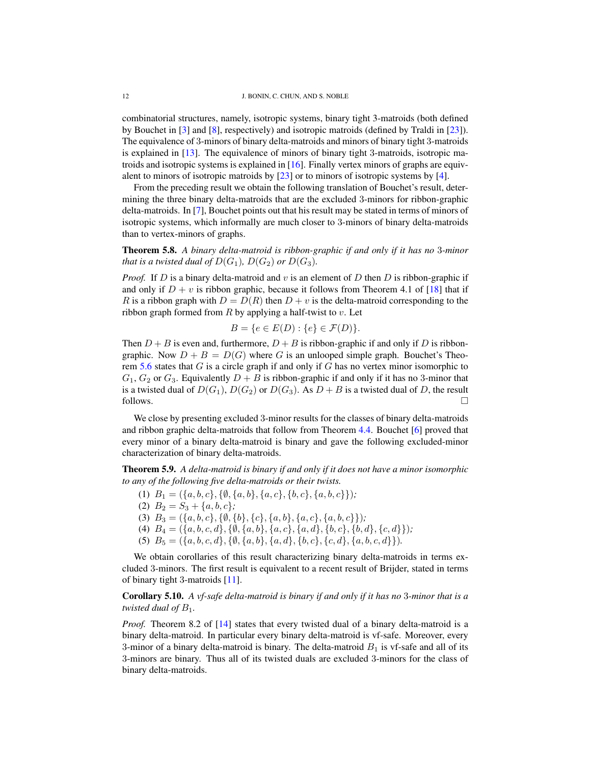combinatorial structures, namely, isotropic systems, binary tight 3-matroids (both defined by Bouchet in [\[3\]](#page-16-19) and [\[8\]](#page-16-11), respectively) and isotropic matroids (defined by Traldi in [\[23\]](#page-16-16)). The equivalence of 3-minors of binary delta-matroids and minors of binary tight 3-matroids is explained in [\[13\]](#page-16-4). The equivalence of minors of binary tight 3-matroids, isotropic matroids and isotropic systems is explained in [\[16\]](#page-16-20). Finally vertex minors of graphs are equivalent to minors of isotropic matroids by [\[23\]](#page-16-16) or to minors of isotropic systems by [\[4\]](#page-16-21).

From the preceding result we obtain the following translation of Bouchet's result, determining the three binary delta-matroids that are the excluded 3-minors for ribbon-graphic delta-matroids. In [\[7\]](#page-16-18), Bouchet points out that his result may be stated in terms of minors of isotropic systems, which informally are much closer to 3-minors of binary delta-matroids than to vertex-minors of graphs.

<span id="page-12-0"></span>Theorem 5.8. *A binary delta-matroid is ribbon-graphic if and only if it has no* 3*-minor that is a twisted dual of*  $D(G_1)$ *,*  $D(G_2)$  *or*  $D(G_3)$ *.* 

*Proof.* If D is a binary delta-matroid and v is an element of D then D is ribbon-graphic if and only if  $D + v$  is ribbon graphic, because it follows from Theorem 4.1 of [\[18\]](#page-16-2) that if R is a ribbon graph with  $D = D(R)$  then  $D + v$  is the delta-matroid corresponding to the ribbon graph formed from  $R$  by applying a half-twist to  $v$ . Let

$$
B = \{ e \in E(D) : \{ e \} \in \mathcal{F}(D) \}.
$$

Then  $D + B$  is even and, furthermore,  $D + B$  is ribbon-graphic if and only if D is ribbongraphic. Now  $D + B = D(G)$  where G is an unlooped simple graph. Bouchet's Theo-rem [5.6](#page-10-1) states that  $G$  is a circle graph if and only if  $G$  has no vertex minor isomorphic to  $G_1, G_2$  or  $G_3$ . Equivalently  $D + B$  is ribbon-graphic if and only if it has no 3-minor that is a twisted dual of  $D(G_1), D(G_2)$  or  $D(G_3)$ . As  $D + B$  is a twisted dual of D, the result follows.  $\Box$ 

We close by presenting excluded 3-minor results for the classes of binary delta-matroids and ribbon graphic delta-matroids that follow from Theorem [4.4.](#page-7-1) Bouchet [\[6\]](#page-16-22) proved that every minor of a binary delta-matroid is binary and gave the following excluded-minor characterization of binary delta-matroids.

<span id="page-12-1"></span>Theorem 5.9. *A delta-matroid is binary if and only if it does not have a minor isomorphic to any of the following five delta-matroids or their twists.*

- (1)  $B_1 = (\{a, b, c\}, \{\emptyset, \{a, b\}, \{a, c\}, \{b, c\}, \{a, b, c\})\}$
- (2)  $B_2 = S_3 + \{a, b, c\}$ ;
- (3)  $B_3 = (\{a, b, c\}, \{\emptyset, \{b\}, \{c\}, \{a, b\}, \{a, c\}, \{a, b, c\}\})$ ;
- (4)  $B_4 = (\{a, b, c, d\}, \{\emptyset, \{a, b\}, \{a, c\}, \{a, d\}, \{b, c\}, \{b, d\}, \{c, d\}\})$ ;
- (5)  $B_5 = (\{a, b, c, d\}, \{\emptyset, \{a, b\}, \{a, d\}, \{b, c\}, \{c, d\}, \{a, b, c, d\}\}).$

We obtain corollaries of this result characterizing binary delta-matroids in terms excluded 3-minors. The first result is equivalent to a recent result of Brijder, stated in terms of binary tight 3-matroids [\[11\]](#page-16-23).

Corollary 5.10. *A vf-safe delta-matroid is binary if and only if it has no* 3*-minor that is a twisted dual of*  $B_1$ *.* 

*Proof.* Theorem 8.2 of [\[14\]](#page-16-5) states that every twisted dual of a binary delta-matroid is a binary delta-matroid. In particular every binary delta-matroid is vf-safe. Moreover, every 3-minor of a binary delta-matroid is binary. The delta-matroid  $B_1$  is vf-safe and all of its 3-minors are binary. Thus all of its twisted duals are excluded 3-minors for the class of binary delta-matroids.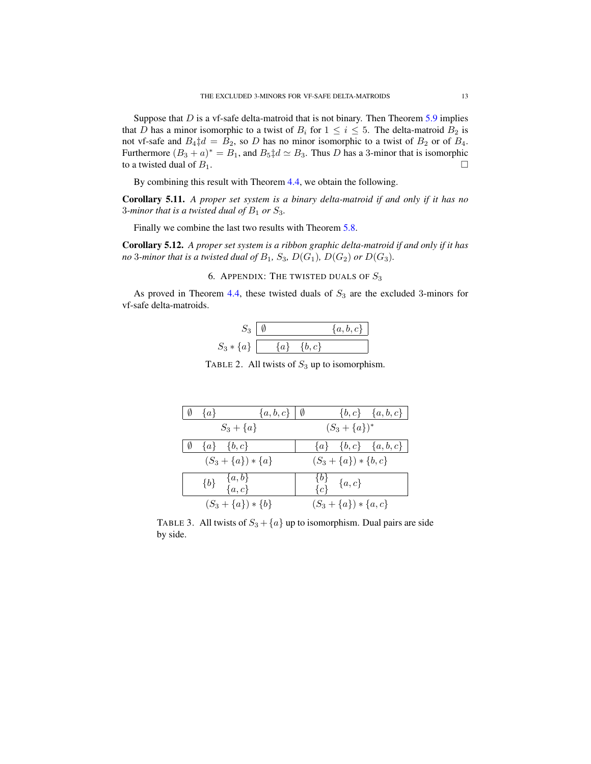Suppose that  $D$  is a vf-safe delta-matroid that is not binary. Then Theorem  $5.9$  implies that D has a minor isomorphic to a twist of  $B_i$  for  $1 \le i \le 5$ . The delta-matroid  $B_2$  is not vf-safe and  $B_4 \ddagger d = B_2$ , so D has no minor isomorphic to a twist of  $B_2$  or of  $B_4$ . Furthermore  $(B_3 + a)^* = B_1$ , and  $B_5 \ddagger d \simeq B_3$ . Thus D has a 3-minor that is isomorphic to a twisted dual of  $B_1$ .

By combining this result with Theorem [4.4,](#page-7-1) we obtain the following.

Corollary 5.11. *A proper set system is a binary delta-matroid if and only if it has no* 3*-minor that is a twisted dual of*  $B_1$  *or*  $S_3$ *.* 

Finally we combine the last two results with Theorem [5.8.](#page-12-0)

Corollary 5.12. *A proper set system is a ribbon graphic delta-matroid if and only if it has no* 3-minor that is a twisted dual of  $B_1$ ,  $S_3$ ,  $D(G_1)$ ,  $D(G_2)$  or  $D(G_3)$ .

6. APPENDIX: THE TWISTED DUALS OF  $S_3$ 

As proved in Theorem [4.4,](#page-7-1) these twisted duals of  $S_3$  are the excluded 3-minors for vf-safe delta-matroids.

|               |       |      | $\{a,b,c\}$ |
|---------------|-------|------|-------------|
| $S_3 * \{a\}$ | $a\}$ | b, c |             |

<span id="page-13-0"></span>TABLE 2. All twists of  $S_3$  up to isomorphism.

|    | $\{a\}$           | $\{a,b,c\}$   Ø                |  |                            | $\{b,c\}$ $\{a,b,c\}$                             |
|----|-------------------|--------------------------------|--|----------------------------|---------------------------------------------------|
|    |                   | $S_3 + \{a\}$                  |  | $(S_3 + \{a\})^*$          |                                                   |
| 10 | $\{a\}$ $\{b,c\}$ |                                |  |                            | ${a} \begin{bmatrix} b,c \end{bmatrix}$ ${a,b,c}$ |
|    |                   | $(S_3 + \{a\}) * \{a\}$        |  | $(S_3 + \{a\}) * \{b, c\}$ |                                                   |
|    |                   | $\{b\}$ $\{a,b\}$<br>$\{a,c\}$ |  | ${b} {c} {a, c}$           |                                                   |
|    |                   | $(S_3 + \{a\}) * \{b\}$        |  | $(S_3 + \{a\}) * \{a, c\}$ |                                                   |

TABLE 3. All twists of  $S_3 + \{a\}$  up to isomorphism. Dual pairs are side by side.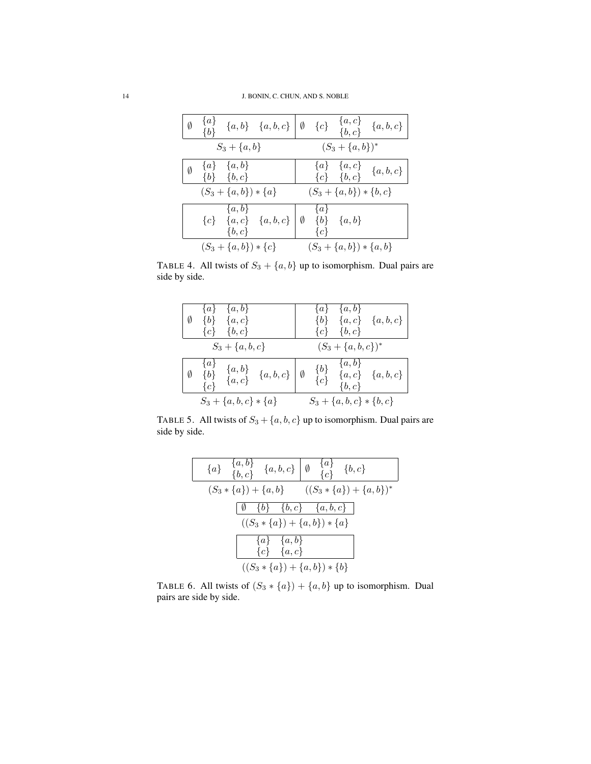| Ø | $\{a\}$<br>$\{b\}$ |                                        | $\{a,b\}$ $\{a,b,c\}$ $\begin{bmatrix} \emptyset & \{c\} & \{a,c\} & \{b,c\} \end{bmatrix}$ $\{a,b,c\}$ |                  |                                       |                                                                              |
|---|--------------------|----------------------------------------|---------------------------------------------------------------------------------------------------------|------------------|---------------------------------------|------------------------------------------------------------------------------|
|   |                    | $S_3 + \{a, b\}$                       |                                                                                                         |                  | $(S_3 + \{a, b\})^*$                  |                                                                              |
| Ø |                    | $\{a\}$ $\{a,b\}$<br>$\{b\}$ $\{b,c\}$ |                                                                                                         |                  |                                       | $\begin{array}{cc} \{a\} & \{a,c\} \\ \{c\} & \{b,c\} \end{array} \{a,b,c\}$ |
|   |                    | $(S_3 + \{a, b\}) * \{a\}$             |                                                                                                         |                  | $(S_3 + \{a, b\}) * \{b, c\}$         |                                                                              |
|   |                    | $\{a,b\}$<br>$\{b,c\}$                 | ${c}$ {a, c} {a, b, c}                                                                                  | $\{a\}$<br>${c}$ | $\emptyset \quad \{b\} \quad \{a,b\}$ |                                                                              |
|   |                    | $(S_3 + \{a, b\}) * \{c\}$             |                                                                                                         |                  | $(S_3 + \{a, b\}) * \{a, b\}$         |                                                                              |

TABLE 4. All twists of  $S_3 + \{a, b\}$  up to isomorphism. Dual pairs are side by side.

| Ø | $\{b\}$                   | $\{a\}$ $\{a,b\}$<br>$\{a,c\}$<br>${c}$ ${b, c}$ |                                                                 | $\{c\}$        | $\{a\}$ $\{a,b\}$<br>$\{b,c\}$ | $\{b\}$ $\{a,c\}$ $\{a,b,c\}$ |
|---|---------------------------|--------------------------------------------------|-----------------------------------------------------------------|----------------|--------------------------------|-------------------------------|
|   |                           | $S_3 + \{a, b, c\}$                              |                                                                 |                | $(S_3 + \{a, b, c\})^*$        |                               |
| Ø | $\{a\}$<br>${b}$<br>${c}$ |                                                  | $\begin{array}{cc} \{a,b\} & \{a,b,c\} \ \{a,c\} & \end{array}$ | ${b}$<br>${c}$ | $\{a,b\}$<br>$\{b,c\}$         | ${a, c}$ ${a, b, c}$          |
|   |                           | $S_3 + \{a, b, c\} * \{a\}$                      |                                                                 |                | $S_3 + \{a, b, c\} * \{b, c\}$ |                               |

TABLE 5. All twists of  $S_3 + \{a, b, c\}$  up to isomorphism. Dual pairs are side by side.

| ${a} \begin{array}{cc} \{a,b\} & \{a,b,c\} \end{array}$ ${a,b,c} \begin{array}{cc} \{a\} & \{a\} & \{b,c\} \end{array}$ |  |
|-------------------------------------------------------------------------------------------------------------------------|--|
| $(S_3 * \{a\}) + \{a,b\}$ $((S_3 * \{a\}) + \{a,b\})^*$                                                                 |  |
| $\begin{bmatrix} \emptyset & \{b\} & \{b,c\} & \{a,b,c\} \end{bmatrix}$                                                 |  |
| $((S_3 * \{a\}) + \{a,b\}) * \{a\}$                                                                                     |  |
| ${a} \begin{array}{cc} \{a\} & \{a,b\} \\ \{c\} & \{a,c\} \end{array}$                                                  |  |
|                                                                                                                         |  |
| $((S_3 * \{a\}) + \{a,b\}) * \{b\}$                                                                                     |  |

 $\overline{\phantom{a}}$ 

TABLE 6. All twists of  $(S_3 * \{a\}) + \{a, b\}$  up to isomorphism. Dual pairs are side by side.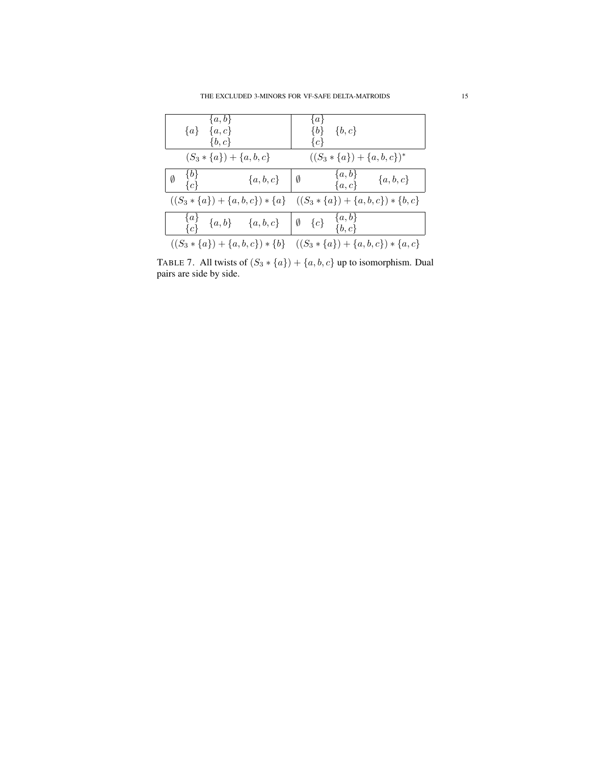| $\{a,b\}$<br>$\{a\}$ $\{a,c\}$<br>$\{b,c\}$                                     | $\{a\}$<br>$\{b,c\}$<br>$\{b\}$<br>${c}$                                      |
|---------------------------------------------------------------------------------|-------------------------------------------------------------------------------|
| $(S_3 * \{a\}) + \{a, b, c\}$                                                   | $((S_3 * \{a\}) + \{a,b,c\})^*$                                               |
| $\{b\}$<br>$\emptyset$<br>$\{a, b, c\}$   Ø<br>${c}$                            | $\{a,b\}$<br>${a,b,c}$<br>$\{a,c\}$                                           |
|                                                                                 | $((S_3 * \{a\}) + \{a,b,c\}) * \{a\}$ $((S_3 * \{a\}) + \{a,b,c\}) * \{b,c\}$ |
| $\begin{array}{cc} \{a\} & \{a,b\} & \{a,b,c\} & \emptyset & \{c\} \end{array}$ | $\{a,b\}$<br>$\{b, c\}$                                                       |
|                                                                                 | $((S_3 * \{a\}) + \{a,b,c\}) * \{b\}$ $((S_3 * \{a\}) + \{a,b,c\}) * \{a,c\}$ |

<span id="page-15-0"></span>TABLE 7. All twists of  $(S_3 * \{a\}) + \{a, b, c\}$  up to isomorphism. Dual pairs are side by side.